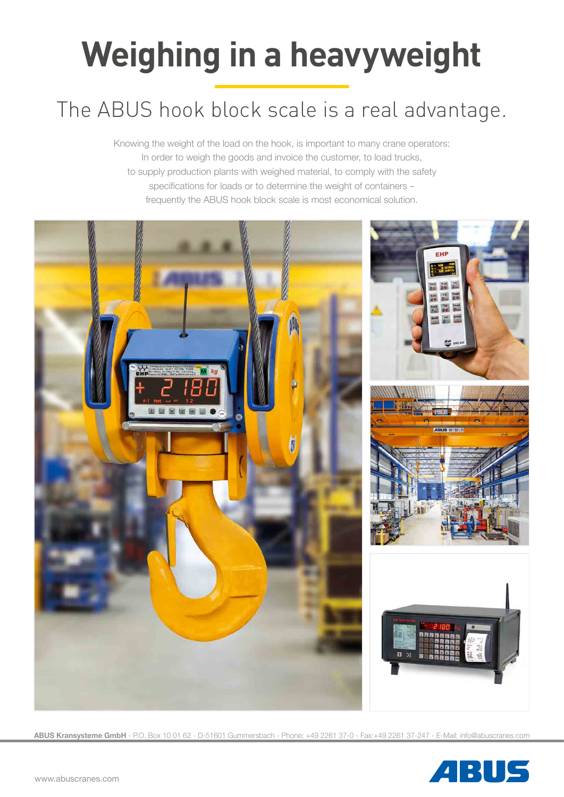# **Weighing in a heavyweight**

# The ABUS hook block scale is a real advantage.

Knowing the weight of the load on the hook, is important to many crane operators: In order to weigh the goods and invoice the customer, to load trucks, to supply production plants with weighed material, to comply with the safety specifications for loads or to determine the weight of containers – frequently the ABUS hook block scale is most economical solution.



**ABUS Kransysteme GmbH** - P.O. Box 10 01 62 - D-51601 Gummersbach - Phone: +49 2261 37-0 - Fax:+49 2261 37-247 - E-Mail: info@abuscranes.com